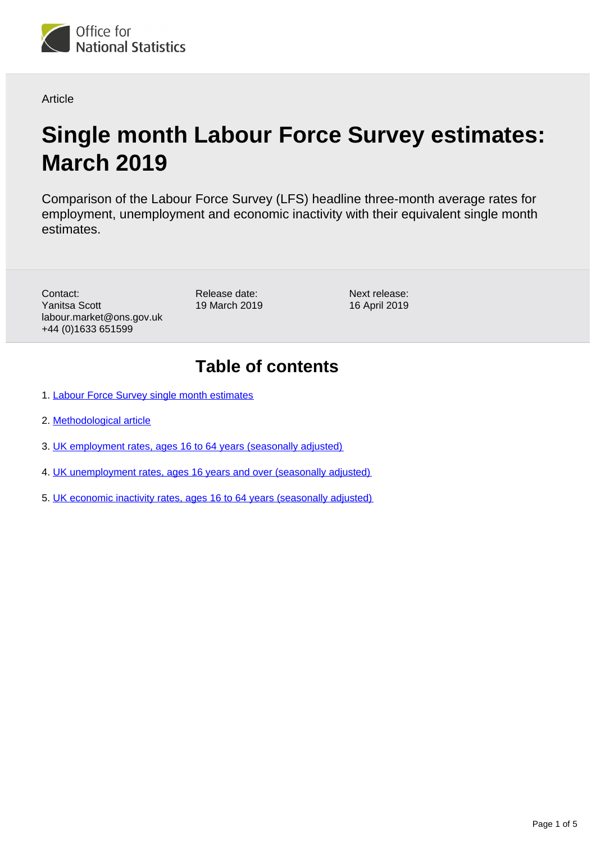

**Article** 

# **Single month Labour Force Survey estimates: March 2019**

Comparison of the Labour Force Survey (LFS) headline three-month average rates for employment, unemployment and economic inactivity with their equivalent single month estimates.

Contact: Yanitsa Scott labour.market@ons.gov.uk +44 (0)1633 651599

Release date: 19 March 2019 Next release: 16 April 2019

## **Table of contents**

- 1. [Labour Force Survey single month estimates](#page-1-0)
- 2. [Methodological article](#page-1-1)
- 3. [UK employment rates, ages 16 to 64 years \(seasonally adjusted\)](#page-2-0)
- 4. [UK unemployment rates, ages 16 years and over \(seasonally adjusted\)](#page-2-1)
- 5. [UK economic inactivity rates, ages 16 to 64 years \(seasonally adjusted\)](#page-3-0)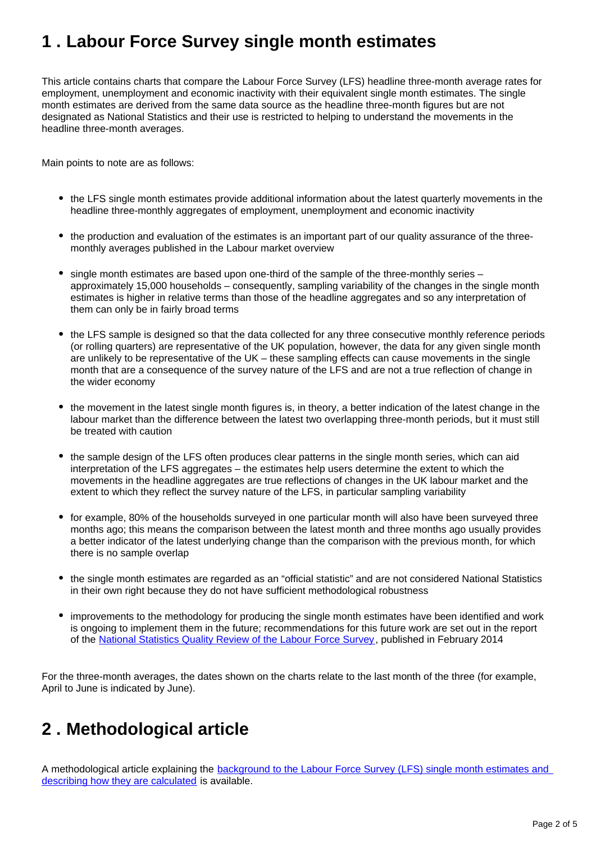## <span id="page-1-0"></span>**1 . Labour Force Survey single month estimates**

This article contains charts that compare the Labour Force Survey (LFS) headline three-month average rates for employment, unemployment and economic inactivity with their equivalent single month estimates. The single month estimates are derived from the same data source as the headline three-month figures but are not designated as National Statistics and their use is restricted to helping to understand the movements in the headline three-month averages.

Main points to note are as follows:

- the LFS single month estimates provide additional information about the latest quarterly movements in the headline three-monthly aggregates of employment, unemployment and economic inactivity
- the production and evaluation of the estimates is an important part of our quality assurance of the threemonthly averages published in the Labour market overview
- single month estimates are based upon one-third of the sample of the three-monthly series approximately 15,000 households – consequently, sampling variability of the changes in the single month estimates is higher in relative terms than those of the headline aggregates and so any interpretation of them can only be in fairly broad terms
- the LFS sample is designed so that the data collected for any three consecutive monthly reference periods (or rolling quarters) are representative of the UK population, however, the data for any given single month are unlikely to be representative of the UK – these sampling effects can cause movements in the single month that are a consequence of the survey nature of the LFS and are not a true reflection of change in the wider economy
- the movement in the latest single month figures is, in theory, a better indication of the latest change in the labour market than the difference between the latest two overlapping three-month periods, but it must still be treated with caution
- the sample design of the LFS often produces clear patterns in the single month series, which can aid interpretation of the LFS aggregates – the estimates help users determine the extent to which the movements in the headline aggregates are true reflections of changes in the UK labour market and the extent to which they reflect the survey nature of the LFS, in particular sampling variability
- for example, 80% of the households surveyed in one particular month will also have been surveyed three months ago; this means the comparison between the latest month and three months ago usually provides a better indicator of the latest underlying change than the comparison with the previous month, for which there is no sample overlap
- the single month estimates are regarded as an "official statistic" and are not considered National Statistics in their own right because they do not have sufficient methodological robustness
- improvements to the methodology for producing the single month estimates have been identified and work is ongoing to implement them in the future; recommendations for this future work are set out in the report of the [National Statistics Quality Review of the Labour Force Survey](http://www.ons.gov.uk/ons/guide-method/method-quality/quality/quality-reviews/list-of-current-national-statistics-quality-reviews/nsqr-series--2--report-no--1/index.html), published in February 2014

For the three-month averages, the dates shown on the charts relate to the last month of the three (for example, April to June is indicated by June).

### <span id="page-1-1"></span>**2 . Methodological article**

A methodological article explaining the [background to the Labour Force Survey \(LFS\) single month estimates and](http://webarchive.nationalarchives.gov.uk/20160105160709/http:/ons.gov.uk/ons/rel/lmac/labour-force-survey-single-month-estimates/labour-force-survey-single-month-estimates/index.html)  [describing how they are calculated](http://webarchive.nationalarchives.gov.uk/20160105160709/http:/ons.gov.uk/ons/rel/lmac/labour-force-survey-single-month-estimates/labour-force-survey-single-month-estimates/index.html) is available.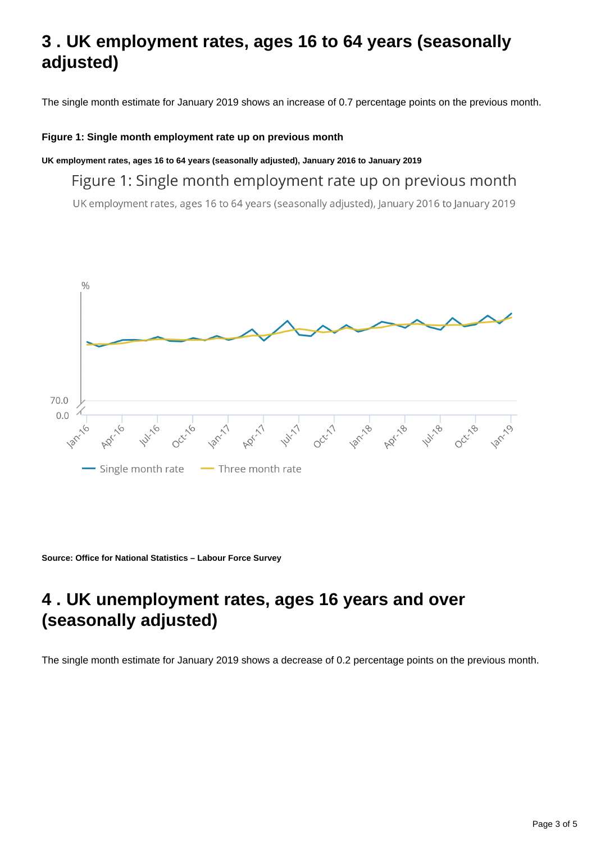## <span id="page-2-0"></span>**3 . UK employment rates, ages 16 to 64 years (seasonally adjusted)**

The single month estimate for January 2019 shows an increase of 0.7 percentage points on the previous month.

#### **Figure 1: Single month employment rate up on previous month**

**UK employment rates, ages 16 to 64 years (seasonally adjusted), January 2016 to January 2019**

#### Figure 1: Single month employment rate up on previous month

UK employment rates, ages 16 to 64 years (seasonally adjusted), January 2016 to January 2019



**Source: Office for National Statistics – Labour Force Survey**

## <span id="page-2-1"></span>**4 . UK unemployment rates, ages 16 years and over (seasonally adjusted)**

The single month estimate for January 2019 shows a decrease of 0.2 percentage points on the previous month.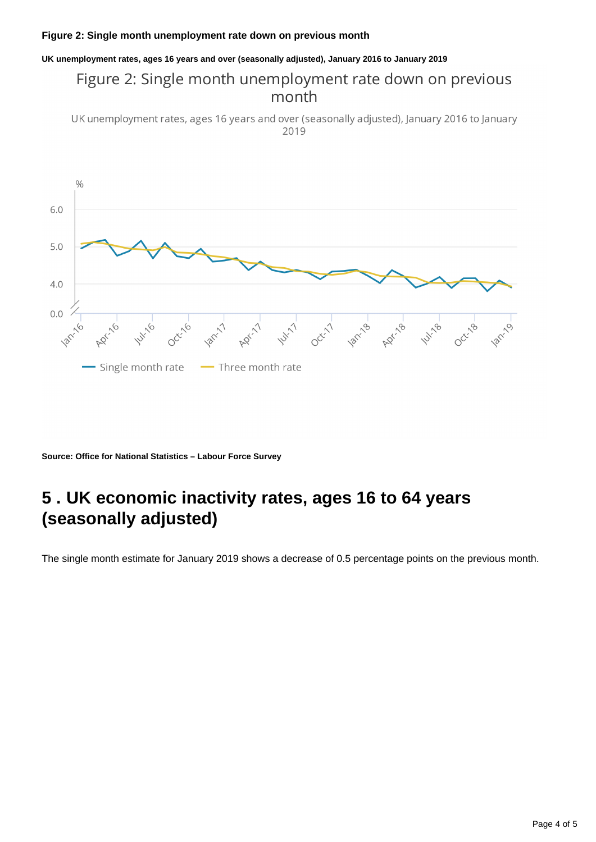#### **Figure 2: Single month unemployment rate down on previous month**

#### **UK unemployment rates, ages 16 years and over (seasonally adjusted), January 2016 to January 2019**

#### Figure 2: Single month unemployment rate down on previous month

UK unemployment rates, ages 16 years and over (seasonally adjusted), January 2016 to January 2019



**Source: Office for National Statistics – Labour Force Survey**

### <span id="page-3-0"></span>**5 . UK economic inactivity rates, ages 16 to 64 years (seasonally adjusted)**

The single month estimate for January 2019 shows a decrease of 0.5 percentage points on the previous month.